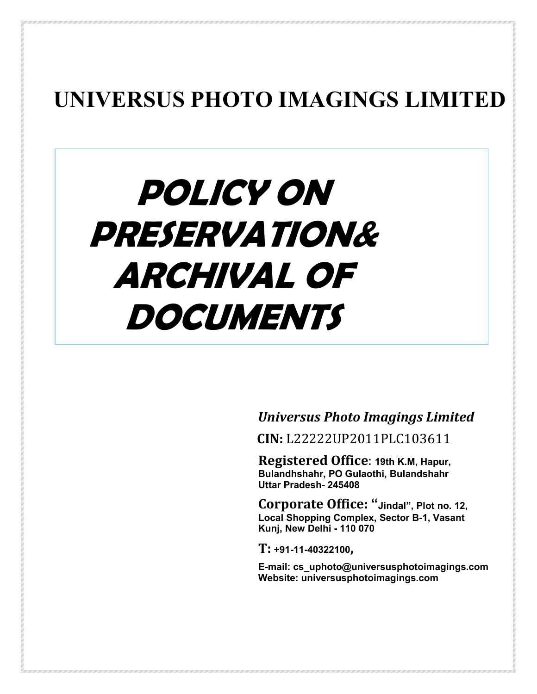# **UNIVERSUS PHOTO IMAGINGS LIMITED**

# **POLICY ON PRESERVATION& ARCHIVAL OF DOCUMENTS**

*Universus Photo Imagings Limited*

 **CIN:** L22222UP2011PLC103611

**Registered Office**: **19th K.M, Hapur, Bulandhshahr, PO Gulaothi, Bulandshahr Uttar Pradesh- 245408**

**Corporate Office: "Jindal", Plot no. 12, Local Shopping Complex, Sector B-1, Vasant Kunj, New Delhi - 110 070** 

**T: +91-11-40322100,**

**E-mail: cs\_uphoto@universusphotoimagings.com Website: universusphotoimagings.com**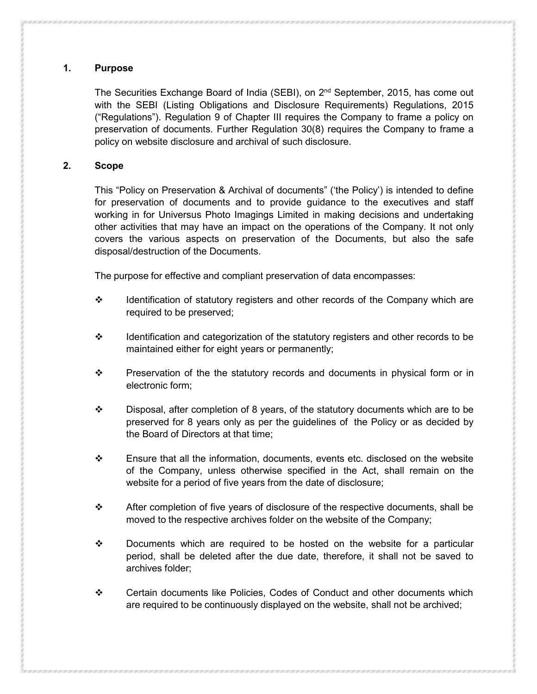# **1. Purpose**

The Securities Exchange Board of India (SEBI), on  $2<sup>nd</sup>$  September, 2015, has come out with the SEBI (Listing Obligations and Disclosure Requirements) Regulations, 2015 ("Regulations"). Regulation 9 of Chapter III requires the Company to frame a policy on preservation of documents. Further Regulation 30(8) requires the Company to frame a policy on website disclosure and archival of such disclosure.

# **2. Scope**

This "Policy on Preservation & Archival of documents" ('the Policy') is intended to define for preservation of documents and to provide guidance to the executives and staff working in for Universus Photo Imagings Limited in making decisions and undertaking other activities that may have an impact on the operations of the Company. It not only covers the various aspects on preservation of the Documents, but also the safe disposal/destruction of the Documents.

The purpose for effective and compliant preservation of data encompasses:

- $\div$  Identification of statutory registers and other records of the Company which are required to be preserved;
- $\div$  Identification and categorization of the statutory registers and other records to be maintained either for eight years or permanently;
- $\div$  Preservation of the the statutory records and documents in physical form or in electronic form;
- $\div$  Disposal, after completion of 8 years, of the statutory documents which are to be preserved for 8 years only as per the guidelines of the Policy or as decided by the Board of Directors at that time;
- $\div$  Ensure that all the information, documents, events etc. disclosed on the website of the Company, unless otherwise specified in the Act, shall remain on the website for a period of five years from the date of disclosure;
- $\div$  After completion of five years of disclosure of the respective documents, shall be moved to the respective archives folder on the website of the Company;
- $\div$  Documents which are required to be hosted on the website for a particular period, shall be deleted after the due date, therefore, it shall not be saved to archives folder;
- Certain documents like Policies, Codes of Conduct and other documents which are required to be continuously displayed on the website, shall not be archived;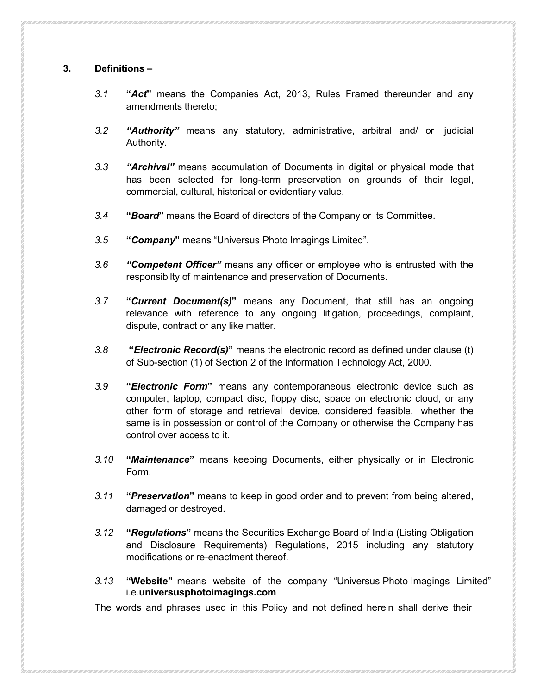# **3. Definitions –**

- *3.1* **"***Act***"** means the Companies Act, 2013, Rules Framed thereunder and any amendments thereto;
- *3.2 "Authority"* means any statutory, administrative, arbitral and/ or judicial Authority.
- *3.3 "Archival"* means accumulation of Documents in digital or physical mode that has been selected for long-term preservation on grounds of their legal, commercial, cultural, historical or evidentiary value.
- *3.4* **"***Board***"** means the Board of directors of the Company or its Committee.
- *3.5* **"***Company***"** means "Universus Photo Imagings Limited".
- *3.6 "Competent Officer"* means any officer or employee who is entrusted with the responsibilty of maintenance and preservation of Documents.
- *3.7* **"***Current Document(s)***"** means any Document, that still has an ongoing relevance with reference to any ongoing litigation, proceedings, complaint, dispute, contract or any like matter.
- *3.8* **"***Electronic Record(s)***"** means the electronic record as defined under clause (t) of Sub-section (1) of Section 2 of the Information Technology Act, 2000.
- *3.9* **"***Electronic Form***"** means any contemporaneous electronic device such as computer, laptop, compact disc, floppy disc, space on electronic cloud, or any other form of storage and retrieval device, considered feasible, whether the same is in possession or control of the Company or otherwise the Company has control over access to it.
- *3.10* **"***Maintenance***"** means keeping Documents, either physically or in Electronic Form.
- *3.11* **"***Preservation***"** means to keep in good order and to prevent from being altered, damaged or destroyed.
- *3.12* **"***Regulations***"** means the Securities Exchange Board of India (Listing Obligation and Disclosure Requirements) Regulations, 2015 including any statutory modifications or re-enactment thereof.
- *3.13* **"Website"** means website of the company "Universus Photo Imagings Limited" i.e.**universusphotoimagings.com**

The words and phrases used in this Policy and not defined herein shall derive their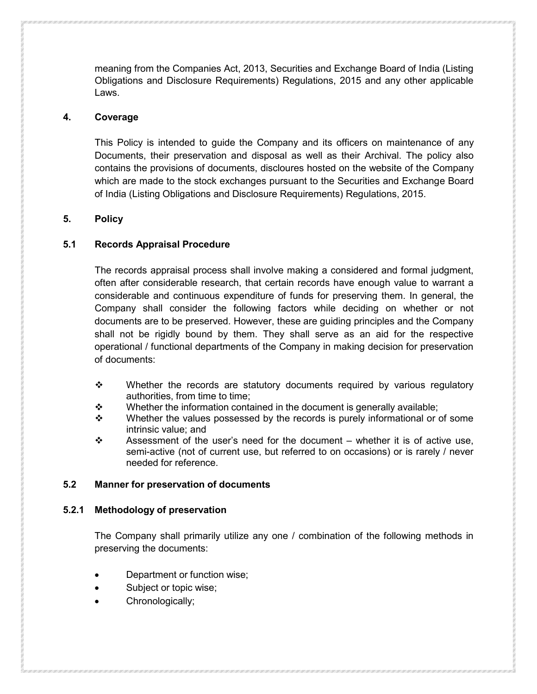meaning from the Companies Act, 2013, Securities and Exchange Board of India (Listing Obligations and Disclosure Requirements) Regulations, 2015 and any other applicable Laws.

#### **4. Coverage**

This Policy is intended to guide the Company and its officers on maintenance of any Documents, their preservation and disposal as well as their Archival. The policy also contains the provisions of documents, discloures hosted on the website of the Company which are made to the stock exchanges pursuant to the Securities and Exchange Board of India (Listing Obligations and Disclosure Requirements) Regulations, 2015.

# **5. Policy**

# **5.1 Records Appraisal Procedure**

The records appraisal process shall involve making a considered and formal judgment, often after considerable research, that certain records have enough value to warrant a considerable and continuous expenditure of funds for preserving them. In general, the Company shall consider the following factors while deciding on whether or not documents are to be preserved. However, these are guiding principles and the Company shall not be rigidly bound by them. They shall serve as an aid for the respective operational / functional departments of the Company in making decision for preservation of documents:

- \* Whether the records are statutory documents required by various regulatory authorities, from time to time;
- $\mathbf{\hat{P}}$  Whether the information contained in the document is generally available;
- $\div$  Whether the values possessed by the records is purely informational or of some intrinsic value; and
- $\div$  Assessment of the user's need for the document whether it is of active use, semi-active (not of current use, but referred to on occasions) or is rarely / never needed for reference.

# **5.2 Manner for preservation of documents**

# **5.2.1 Methodology of preservation**

The Company shall primarily utilize any one / combination of the following methods in preserving the documents:

- Department or function wise;
- Subject or topic wise;
- Chronologically;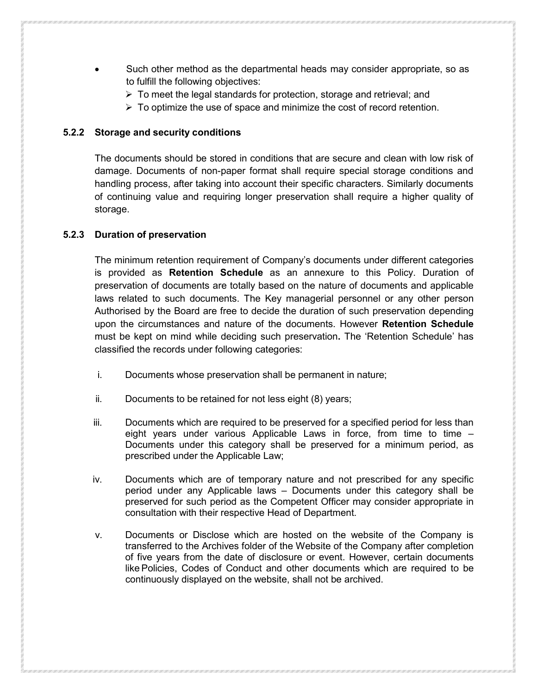- Such other method as the departmental heads may consider appropriate, so as to fulfill the following objectives:
	- $\triangleright$  To meet the legal standards for protection, storage and retrieval; and
	- $\triangleright$  To optimize the use of space and minimize the cost of record retention.

#### **5.2.2 Storage and security conditions**

The documents should be stored in conditions that are secure and clean with low risk of damage. Documents of non-paper format shall require special storage conditions and handling process, after taking into account their specific characters. Similarly documents of continuing value and requiring longer preservation shall require a higher quality of storage.

#### **5.2.3 Duration of preservation**

The minimum retention requirement of Company's documents under different categories is provided as **Retention Schedule** as an annexure to this Policy. Duration of preservation of documents are totally based on the nature of documents and applicable laws related to such documents. The Key managerial personnel or any other person Authorised by the Board are free to decide the duration of such preservation depending upon the circumstances and nature of the documents. However **Retention Schedule** must be kept on mind while deciding such preservation**.** The 'Retention Schedule' has classified the records under following categories:

- i. Documents whose preservation shall be permanent in nature;
- ii. Documents to be retained for not less eight (8) years;
- iii. Documents which are required to be preserved for a specified period for less than eight years under various Applicable Laws in force, from time to time – Documents under this category shall be preserved for a minimum period, as prescribed under the Applicable Law;
- iv. Documents which are of temporary nature and not prescribed for any specific period under any Applicable laws – Documents under this category shall be preserved for such period as the Competent Officer may consider appropriate in consultation with their respective Head of Department.
- v. Documents or Disclose which are hosted on the website of the Company is transferred to the Archives folder of the Website of the Company after completion of five years from the date of disclosure or event. However, certain documents likePolicies, Codes of Conduct and other documents which are required to be continuously displayed on the website, shall not be archived.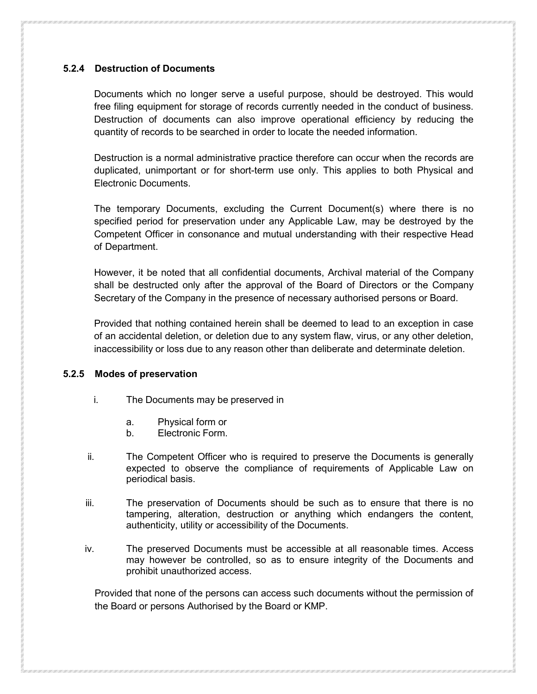# **5.2.4 Destruction of Documents**

Documents which no longer serve a useful purpose, should be destroyed. This would free filing equipment for storage of records currently needed in the conduct of business. Destruction of documents can also improve operational efficiency by reducing the quantity of records to be searched in order to locate the needed information.

Destruction is a normal administrative practice therefore can occur when the records are duplicated, unimportant or for short-term use only. This applies to both Physical and Electronic Documents.

The temporary Documents, excluding the Current Document(s) where there is no specified period for preservation under any Applicable Law, may be destroyed by the Competent Officer in consonance and mutual understanding with their respective Head of Department.

However, it be noted that all confidential documents, Archival material of the Company shall be destructed only after the approval of the Board of Directors or the Company Secretary of the Company in the presence of necessary authorised persons or Board.

Provided that nothing contained herein shall be deemed to lead to an exception in case of an accidental deletion, or deletion due to any system flaw, virus, or any other deletion, inaccessibility or loss due to any reason other than deliberate and determinate deletion.

# **5.2.5 Modes of preservation**

- i. The Documents may be preserved in
	- a. Physical form or
	- b. Electronic Form.
- ii. The Competent Officer who is required to preserve the Documents is generally expected to observe the compliance of requirements of Applicable Law on periodical basis.
- iii. The preservation of Documents should be such as to ensure that there is no tampering, alteration, destruction or anything which endangers the content, authenticity, utility or accessibility of the Documents.
- iv. The preserved Documents must be accessible at all reasonable times. Access may however be controlled, so as to ensure integrity of the Documents and prohibit unauthorized access.

Provided that none of the persons can access such documents without the permission of the Board or persons Authorised by the Board or KMP.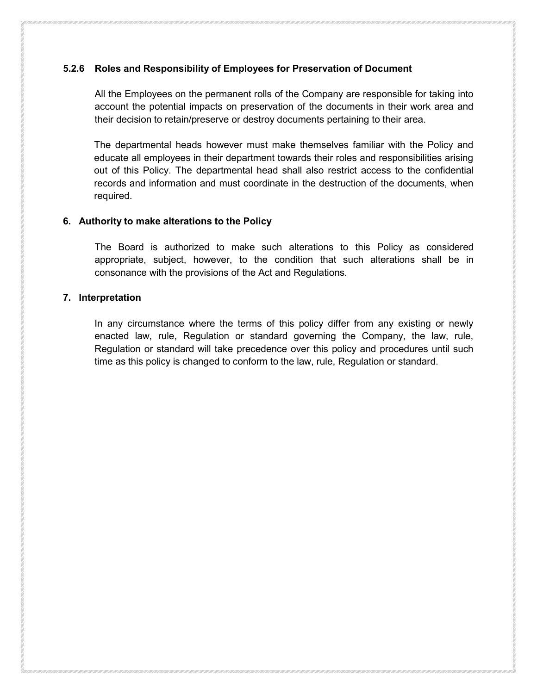# **5.2.6 Roles and Responsibility of Employees for Preservation of Document**

All the Employees on the permanent rolls of the Company are responsible for taking into account the potential impacts on preservation of the documents in their work area and their decision to retain/preserve or destroy documents pertaining to their area.

The departmental heads however must make themselves familiar with the Policy and educate all employees in their department towards their roles and responsibilities arising out of this Policy. The departmental head shall also restrict access to the confidential records and information and must coordinate in the destruction of the documents, when required.

#### **6. Authority to make alterations to the Policy**

The Board is authorized to make such alterations to this Policy as considered appropriate, subject, however, to the condition that such alterations shall be in consonance with the provisions of the Act and Regulations.

#### **7. Interpretation**

In any circumstance where the terms of this policy differ from any existing or newly enacted law, rule, Regulation or standard governing the Company, the law, rule, Regulation or standard will take precedence over this policy and procedures until such time as this policy is changed to conform to the law, rule, Regulation or standard.